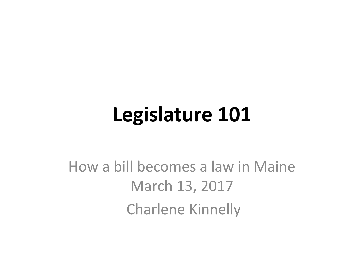#### **Legislature 101**

#### How a bill becomes a law in Maine March 13, 2017 Charlene Kinnelly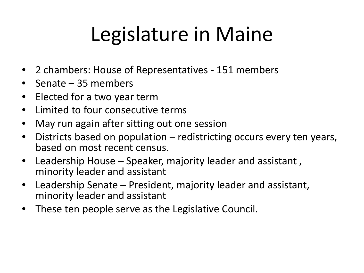## Legislature in Maine

- 2 chambers: House of Representatives 151 members
- Senate 35 members
- Elected for a two year term
- Limited to four consecutive terms
- May run again after sitting out one session
- Districts based on population redistricting occurs every ten years, based on most recent census.
- Leadership House Speaker, majority leader and assistant , minority leader and assistant
- Leadership Senate President, majority leader and assistant, minority leader and assistant
- These ten people serve as the Legislative Council.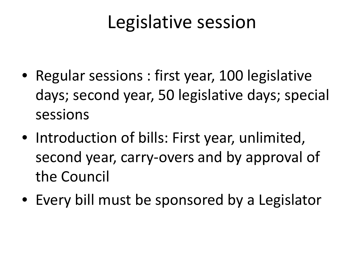#### Legislative session

- Regular sessions : first year, 100 legislative days; second year, 50 legislative days; special sessions
- Introduction of bills: First year, unlimited, second year, carry-overs and by approval of the Council
- Every bill must be sponsored by a Legislator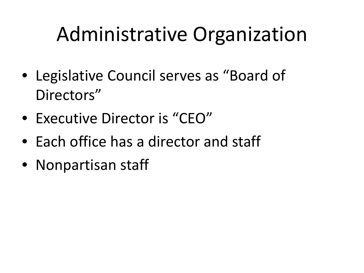### Administrative Organization

- Legislative Council serves as "Board of Directors"
- Executive Director is "CEO"
- Each office has a director and staff
- Nonpartisan staff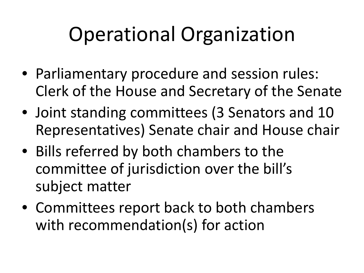## Operational Organization

- Parliamentary procedure and session rules: Clerk of the House and Secretary of the Senate
- Joint standing committees (3 Senators and 10 Representatives) Senate chair and House chair
- Bills referred by both chambers to the committee of jurisdiction over the bill's subject matter
- Committees report back to both chambers with recommendation(s) for action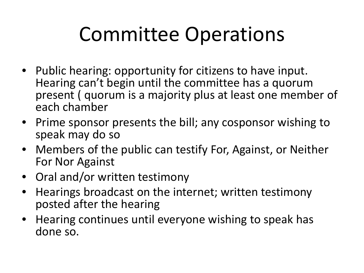### Committee Operations

- Public hearing: opportunity for citizens to have input. Hearing can't begin until the committee has a quorum present ( quorum is a majority plus at least one member of each chamber
- Prime sponsor presents the bill; any cosponsor wishing to speak may do so
- Members of the public can testify For, Against, or Neither For Nor Against
- Oral and/or written testimony
- Hearings broadcast on the internet; written testimony posted after the hearing
- Hearing continues until everyone wishing to speak has done so.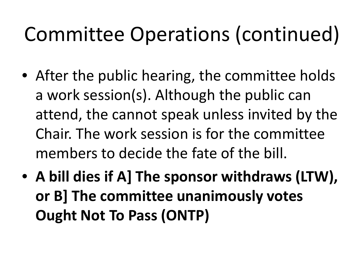## Committee Operations (continued)

- After the public hearing, the committee holds a work session(s). Although the public can attend, the cannot speak unless invited by the Chair. The work session is for the committee members to decide the fate of the bill.
- **A bill dies if A] The sponsor withdraws (LTW), or B] The committee unanimously votes Ought Not To Pass (ONTP)**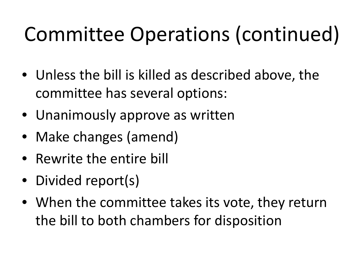# Committee Operations (continued)

- Unless the bill is killed as described above, the committee has several options:
- Unanimously approve as written
- Make changes (amend)
- Rewrite the entire bill
- Divided report(s)
- When the committee takes its vote, they return the bill to both chambers for disposition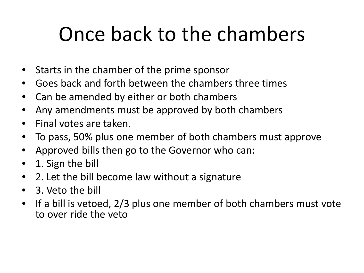### Once back to the chambers

- Starts in the chamber of the prime sponsor
- Goes back and forth between the chambers three times
- Can be amended by either or both chambers
- Any amendments must be approved by both chambers
- Final votes are taken.
- To pass, 50% plus one member of both chambers must approve
- Approved bills then go to the Governor who can:
- 1. Sign the bill
- 2. Let the bill become law without a signature
- 3. Veto the bill
- If a bill is vetoed, 2/3 plus one member of both chambers must vote to over ride the veto